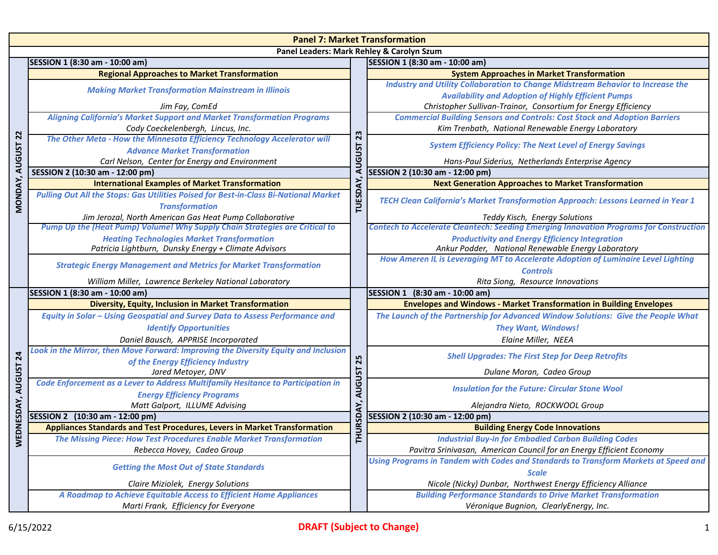| <b>Panel 7: Market Transformation</b>     |                                                                                                           |                                               |                                                                                                             |  |
|-------------------------------------------|-----------------------------------------------------------------------------------------------------------|-----------------------------------------------|-------------------------------------------------------------------------------------------------------------|--|
| Panel Leaders: Mark Rehley & Carolyn Szum |                                                                                                           |                                               |                                                                                                             |  |
|                                           | SESSION 1 (8:30 am - 10:00 am)                                                                            |                                               | SESSION 1 (8:30 am - 10:00 am)                                                                              |  |
|                                           | <b>Regional Approaches to Market Transformation</b>                                                       |                                               | <b>System Approaches in Market Transformation</b>                                                           |  |
|                                           | <b>Making Market Transformation Mainstream in Illinois</b>                                                |                                               | <b>Industry and Utility Collaboration to Change Midstream Behavior to Increase the</b>                      |  |
|                                           |                                                                                                           | 23<br><b>AUGUST</b><br><b>TUESDAY</b>         | <b>Availability and Adoption of Highly Efficient Pumps</b>                                                  |  |
|                                           | Jim Fay, ComEd                                                                                            |                                               | Christopher Sullivan-Trainor, Consortium for Energy Efficiency                                              |  |
|                                           | <b>Aligning California's Market Support and Market Transformation Programs</b>                            |                                               | <b>Commercial Building Sensors and Controls: Cost Stack and Adoption Barriers</b>                           |  |
|                                           | Cody Coeckelenbergh, Lincus, Inc.                                                                         |                                               | Kim Trenbath, National Renewable Energy Laboratory                                                          |  |
| 22                                        | The Other Meta - How the Minnesota Efficiency Technology Accelerator will                                 |                                               | <b>System Efficiency Policy: The Next Level of Energy Savings</b>                                           |  |
|                                           | <b>Advance Market Transformation</b>                                                                      |                                               |                                                                                                             |  |
| <b>AUGUST</b>                             | Carl Nelson, Center for Energy and Environment                                                            |                                               | Hans-Paul Siderius, Netherlands Enterprise Agency                                                           |  |
|                                           | SESSION 2 (10:30 am - 12:00 pm)                                                                           |                                               | SESSION 2 (10:30 am - 12:00 pm)                                                                             |  |
| MONDAY,                                   | <b>International Examples of Market Transformation</b>                                                    |                                               | <b>Next Generation Approaches to Market Transformation</b>                                                  |  |
|                                           | Pulling Out All the Stops: Gas Utilities Poised for Best-in-Class Bi-National Market                      |                                               | TECH Clean California's Market Transformation Approach: Lessons Learned in Year 1                           |  |
|                                           | <b>Transformation</b>                                                                                     |                                               |                                                                                                             |  |
|                                           | Jim Jerozal, North American Gas Heat Pump Collaborative                                                   |                                               | Teddy Kisch, Energy Solutions                                                                               |  |
|                                           | Pump Up the (Heat Pump) Volume! Why Supply Chain Strategies are Critical to                               |                                               | <b>Contech to Accelerate Cleantech: Seeding Emerging Innovation Programs for Construction</b>               |  |
|                                           | <b>Heating Technologies Market Transformation</b><br>Patricia Lightburn, Dunsky Energy + Climate Advisors |                                               | <b>Productivity and Energy Efficiency Integration</b><br>Ankur Podder, National Renewable Energy Laboratory |  |
|                                           |                                                                                                           |                                               | How Ameren IL is Leveraging MT to Accelerate Adoption of Luminaire Level Lighting                           |  |
|                                           | <b>Strategic Energy Management and Metrics for Market Transformation</b>                                  |                                               | <b>Controls</b>                                                                                             |  |
|                                           | William Miller, Lawrence Berkeley National Laboratory                                                     |                                               | Rita Siong, Resource Innovations                                                                            |  |
|                                           | SESSION 1 (8:30 am - 10:00 am)                                                                            |                                               | SESSION 1 (8:30 am - 10:00 am)                                                                              |  |
|                                           | Diversity, Equity, Inclusion in Market Transformation                                                     | 25<br><b>AUGUST</b><br>.<br>پ<br>HURSDA<br>Ė. | <b>Envelopes and Windows - Market Transformation in Building Envelopes</b>                                  |  |
|                                           | <b>Equity in Solar - Using Geospatial and Survey Data to Assess Performance and</b>                       |                                               | The Launch of the Partnership for Advanced Window Solutions: Give the People What                           |  |
|                                           | <b>Identify Opportunities</b>                                                                             |                                               | <b>They Want, Windows!</b>                                                                                  |  |
|                                           | Daniel Bausch, APPRISE Incorporated                                                                       |                                               | Elaine Miller, NEEA                                                                                         |  |
|                                           | Look in the Mirror, then Move Forward: Improving the Diversity Equity and Inclusion                       |                                               |                                                                                                             |  |
| 24                                        | of the Energy Efficiency Industry                                                                         |                                               | <b>Shell Upgrades: The First Step for Deep Retrofits</b>                                                    |  |
|                                           | Jared Metoyer, DNV                                                                                        |                                               | Dulane Moran, Cadeo Group                                                                                   |  |
| DNESDAY, AUGUST                           | Code Enforcement as a Lever to Address Multifamily Hesitance to Participation in                          |                                               | <b>Insulation for the Future: Circular Stone Wool</b>                                                       |  |
|                                           | <b>Energy Efficiency Programs</b>                                                                         |                                               |                                                                                                             |  |
|                                           | Matt Galport, ILLUME Advising                                                                             |                                               | Alejandra Nieto, ROCKWOOL Group                                                                             |  |
|                                           | SESSION 2 (10:30 am - 12:00 pm)                                                                           |                                               | SESSION 2 (10:30 am - 12:00 pm)                                                                             |  |
|                                           | <b>Appliances Standards and Test Procedures, Levers in Market Transformation</b>                          |                                               | <b>Building Energy Code Innovations</b>                                                                     |  |
| $\bar{\mathsf{s}}$                        | The Missing Piece: How Test Procedures Enable Market Transformation                                       |                                               | <b>Industrial Buy-in for Embodied Carbon Building Codes</b>                                                 |  |
|                                           | Rebecca Hovey, Cadeo Group                                                                                |                                               | Pavitra Srinivasan, American Council for an Energy Efficient Economy                                        |  |
|                                           | <b>Getting the Most Out of State Standards</b>                                                            |                                               | Using Programs in Tandem with Codes and Standards to Transform Markets at Speed and                         |  |
|                                           |                                                                                                           |                                               | <b>Scale</b>                                                                                                |  |
|                                           | Claire Miziolek, Energy Solutions                                                                         |                                               | Nicole (Nicky) Dunbar, Northwest Energy Efficiency Alliance                                                 |  |
|                                           | A Roadmap to Achieve Equitable Access to Efficient Home Appliances                                        |                                               | <b>Building Performance Standards to Drive Market Transformation</b>                                        |  |
|                                           | Marti Frank, Efficiency for Everyone                                                                      |                                               | Véronique Bugnion, ClearlyEnergy, Inc.                                                                      |  |